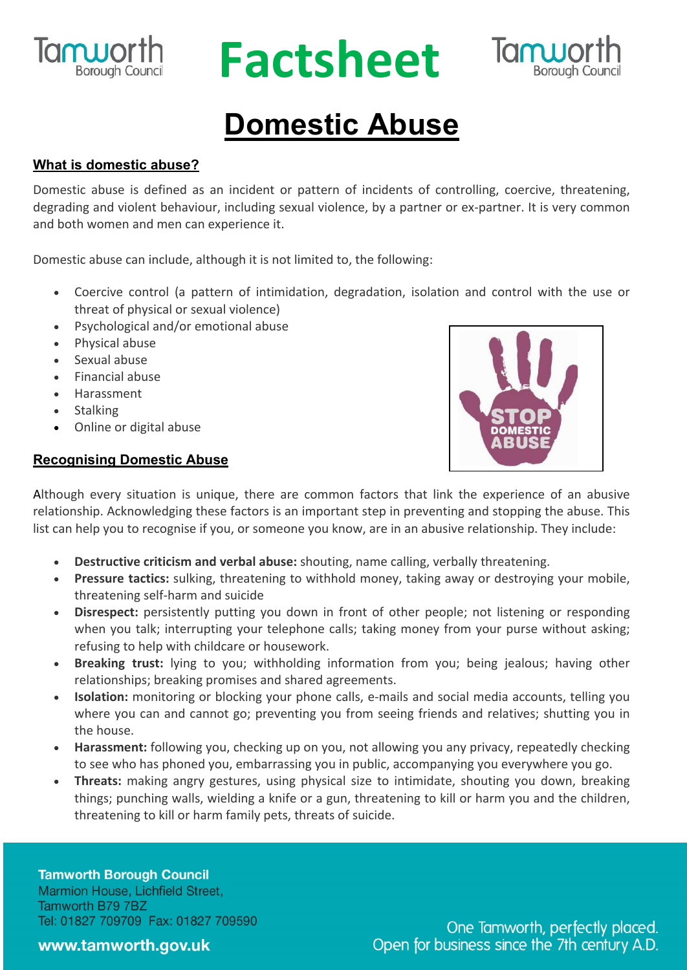

## **RUPOLIC Factsheet**



### **Domestic Abuse**

#### **What is domestic abuse?**

Domestic abuse is defined as an incident or pattern of incidents of controlling, coercive, threatening, degrading and violent behaviour, including sexual violence, by a partner or ex-partner. It is very common and both women and men can experience it.

Domestic abuse can include, although it is not limited to, the following:

- Coercive control (a pattern of intimidation, degradation, isolation and control with the use or threat of physical or sexual violence)
- Psychological and/or emotional abuse
- Physical abuse
- Sexual abuse
- Financial abuse
- Harassment
- Stalking
- Online or digital abuse

#### **Recognising Domestic Abuse**



Although every situation is unique, there are common factors that link the experience of an abusive relationship. Acknowledging these factors is an important step in preventing and stopping the abuse. This list can help you to recognise if you, or someone you know, are in an abusive relationship. They include:

- **Destructive criticism and verbal abuse:** shouting, name calling, verbally threatening.
- **Pressure tactics:** sulking, threatening to withhold money, taking away or destroying your mobile, threatening self-harm and suicide
- **Disrespect:** persistently putting you down in front of other people; not listening or responding when you talk; interrupting your telephone calls; taking money from your purse without asking; refusing to help with childcare or housework.
- **Breaking trust:** lying to you; withholding information from you; being jealous; having other relationships; breaking promises and shared agreements.
- **Isolation:** monitoring or blocking your phone calls, e-mails and social media accounts, telling you where you can and cannot go; preventing you from seeing friends and relatives; shutting you in the house.
- **Harassment:** following you, checking up on you, not allowing you any privacy, repeatedly checking to see who has phoned you, embarrassing you in public, accompanying you everywhere you go.
- **Threats:** making angry gestures, using physical size to intimidate, shouting you down, breaking things; punching walls, wielding a knife or a gun, threatening to kill or harm you and the children, threatening to kill or harm family pets, threats of suicide.

**Tamworth Borough Council** Marmion House, Lichfield Street, Tamworth B79 7BZ Tel: 01827 709709 Fax: 01827 709590

One Tamworth, perfectly placed. Open for business since the 7th century A.D.

www.tamworth.gov.uk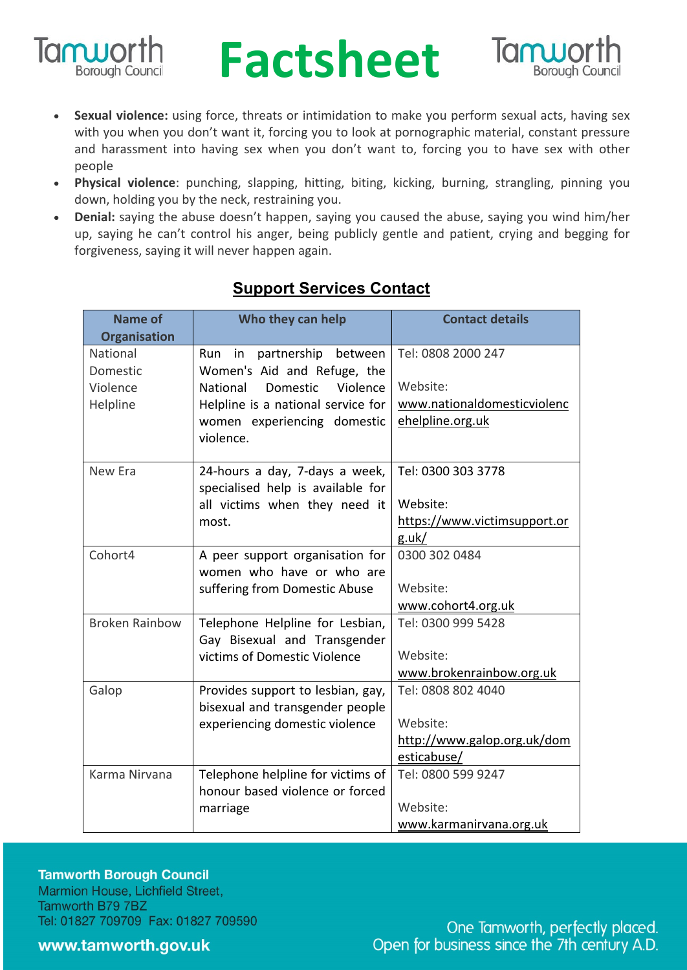

## **RUPOLING Factsheet**



- **Sexual violence:** using force, threats or intimidation to make you perform sexual acts, having sex with you when you don't want it, forcing you to look at pornographic material, constant pressure and harassment into having sex when you don't want to, forcing you to have sex with other people
- **Physical violence**: punching, slapping, hitting, biting, kicking, burning, strangling, pinning you down, holding you by the neck, restraining you.
- **Denial:** saying the abuse doesn't happen, saying you caused the abuse, saying you wind him/her up, saying he can't control his anger, being publicly gentle and patient, crying and begging for forgiveness, saying it will never happen again.

| Name of               | Who they can help                   | <b>Contact details</b>       |
|-----------------------|-------------------------------------|------------------------------|
| <b>Organisation</b>   |                                     |                              |
| National              | in<br>partnership<br>Run<br>between | Tel: 0808 2000 247           |
| Domestic              | Women's Aid and Refuge, the         |                              |
| Violence              | National<br>Domestic<br>Violence    | Website:                     |
| Helpline              | Helpline is a national service for  | www.nationaldomesticviolenc  |
|                       | women experiencing domestic         | ehelpline.org.uk             |
|                       | violence.                           |                              |
| New Era               | 24-hours a day, 7-days a week,      | Tel: 0300 303 3778           |
|                       | specialised help is available for   |                              |
|                       | all victims when they need it       | Website:                     |
|                       | most.                               | https://www.victimsupport.or |
|                       |                                     | g.uk/                        |
| Cohort4               | A peer support organisation for     | 0300 302 0484                |
|                       | women who have or who are           |                              |
|                       | suffering from Domestic Abuse       | Website:                     |
|                       |                                     | www.cohort4.org.uk           |
| <b>Broken Rainbow</b> | Telephone Helpline for Lesbian,     | Tel: 0300 999 5428           |
|                       | Gay Bisexual and Transgender        |                              |
|                       | victims of Domestic Violence        | Website:                     |
|                       |                                     | www.brokenrainbow.org.uk     |
| Galop                 | Provides support to lesbian, gay,   | Tel: 0808 802 4040           |
|                       | bisexual and transgender people     |                              |
|                       | experiencing domestic violence      | Website:                     |
|                       |                                     | http://www.galop.org.uk/dom  |
|                       |                                     | esticabuse/                  |
| Karma Nirvana         | Telephone helpline for victims of   | Tel: 0800 599 9247           |
|                       | honour based violence or forced     |                              |
|                       | marriage                            | Website:                     |
|                       |                                     | www.karmanirvana.org.uk      |

#### **Support Services Contact**

**Tamworth Borough Council** Marmion House, Lichfield Street, Tamworth B79 7BZ Tel: 01827 709709 Fax: 01827 709590

www.tamworth.gov.uk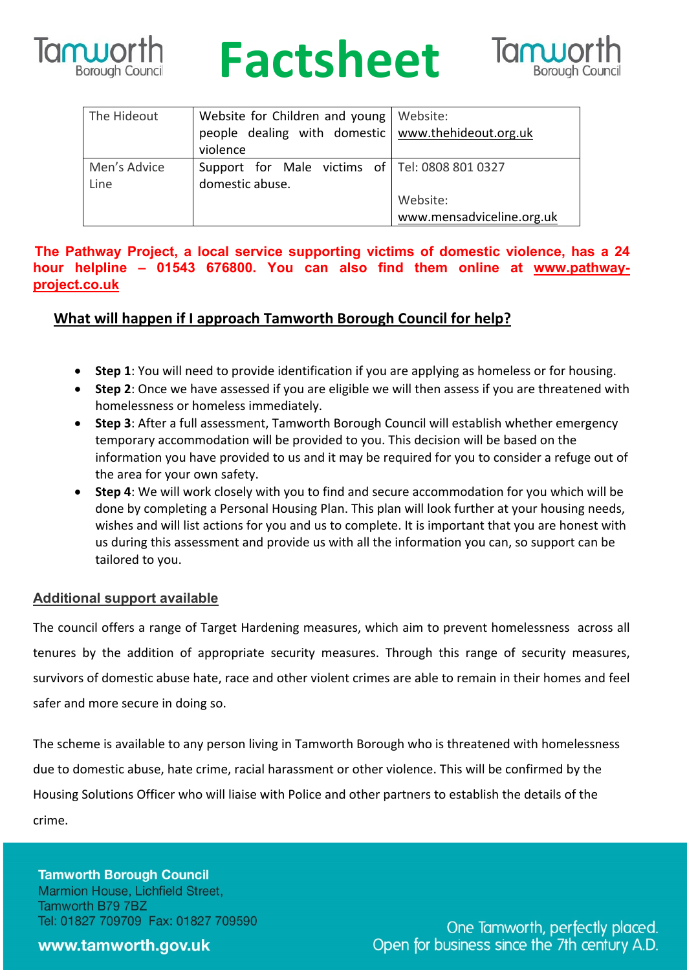

## **Iam Worth Factsheet**



| The Hideout          | Website for Children and young   Website:<br>people dealing with domestic   www.thehideout.org.uk<br>violence |                           |
|----------------------|---------------------------------------------------------------------------------------------------------------|---------------------------|
| Men's Advice<br>Line | Support for Male victims of Tel: 0808 801 0327<br>domestic abuse.                                             |                           |
|                      |                                                                                                               | Website:                  |
|                      |                                                                                                               | www.mensadviceline.org.uk |

#### **The Pathway Project, a local service supporting victims of domestic violence, has a 24 hour helpline – 01543 676800. You can also find them online at www.pathwayproject.co.uk**

#### **What will happen if I approach Tamworth Borough Council for help?**

- **Step 1**: You will need to provide identification if you are applying as homeless or for housing.
- **Step 2**: Once we have assessed if you are eligible we will then assess if you are threatened with homelessness or homeless immediately.
- **Step 3**: After a full assessment, Tamworth Borough Council will establish whether emergency temporary accommodation will be provided to you. This decision will be based on the information you have provided to us and it may be required for you to consider a refuge out of the area for your own safety.
- **Step 4**: We will work closely with you to find and secure accommodation for you which will be done by completing a Personal Housing Plan. This plan will look further at your housing needs, wishes and will list actions for you and us to complete. It is important that you are honest with us during this assessment and provide us with all the information you can, so support can be tailored to you.

#### **Additional support available**

The council offers a range of Target Hardening measures, which aim to prevent homelessness across all tenures by the addition of appropriate security measures. Through this range of security measures, survivors of domestic abuse hate, race and other violent crimes are able to remain in their homes and feel safer and more secure in doing so.

The scheme is available to any person living in Tamworth Borough who is threatened with homelessness due to domestic abuse, hate crime, racial harassment or other violence. This will be confirmed by the Housing Solutions Officer who will liaise with Police and other partners to establish the details of the crime.

#### **Tamworth Borough Council** Marmion House, Lichfield Street, Tamworth B79 7BZ

Tel: 01827 709709 Fax: 01827 709590

#### www.tamworth.gov.uk

One Tamworth, perfectly placed. Open for business since the 7th century A.D.